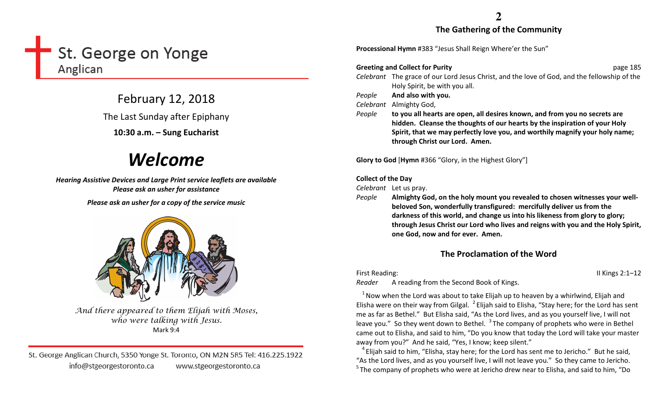**2**

## The Gathering of the Community

St. George on Yonge Anglican

February 12, 2018

The Last Sunday after Epiphany

10:30 a.m. – Sung Eucharist

# Welcome

Hearing Assistive Devices and Large Print service leaflets are available Please ask an usher for assistance

Please ask an usher for a copy of the service music



And there appeared to them Elijah with Moses, who were talking with Jesus. Mark 9:4

St. George Anglican Church, 5350 Yonge St. Toronto, ON M2N 5R5 Tel: 416.225.1922 info@stgeorgestoronto.ca www.stgeorgestoronto.ca

Processional Hymn #383 "Jesus Shall Reign Where'er the Sun"

Greeting and Collect for Purity

**y** page 185 Celebrant The grace of our Lord Jesus Christ, and the love of God, and the fellowship of the Holy Spirit, be with you all.

PeopleAnd also with you.

Celebrant Almighty God,

People to you all hearts are open, all desires known, and from you no secrets are hidden. Cleanse the thoughts of our hearts by the inspiration of your Holy Spirit, that we may perfectly love you, and worthily magnify your holy name; through Christ our Lord. Amen.

Glory to God [Hymn #366 "Glory, in the Highest Glory"]

## Collect of the Day

Celebrant Let us pray.

People Almighty God, on the holy mount you revealed to chosen witnesses your wellbeloved Son, wonderfully transfigured: mercifully deliver us from the darkness of this world, and change us into his likeness from glory to glory; through Jesus Christ our Lord who lives and reigns with you and the Holy Spirit, one God, now and for ever. Amen.

## The Proclamation of the Word

First Reading: II Kings 2:1–12

Reader A reading from the Second Book of Kings.

 $1$  Now when the Lord was about to take Elijah up to heaven by a whirlwind, Elijah and Elisha were on their way from Gilgal.  $^2$  Elijah said to Elisha, "Stay here; for the Lord has sent me as far as Bethel." But Elisha said, "As the Lord lives, and as you yourself live, I will not leave you." So they went down to Bethel.  $3$  The company of prophets who were in Bethel came out to Elisha, and said to him, "Do you know that today the Lord will take your master away from you?" And he said, "Yes, I know; keep silent."

 $4$  Elijah said to him, "Elisha, stay here; for the Lord has sent me to Jericho." But he said, "As the Lord lives, and as you yourself live, I will not leave you." So they came to Jericho.  $^5$ The company of prophets who were at Jericho drew near to Elisha, and said to him, "Do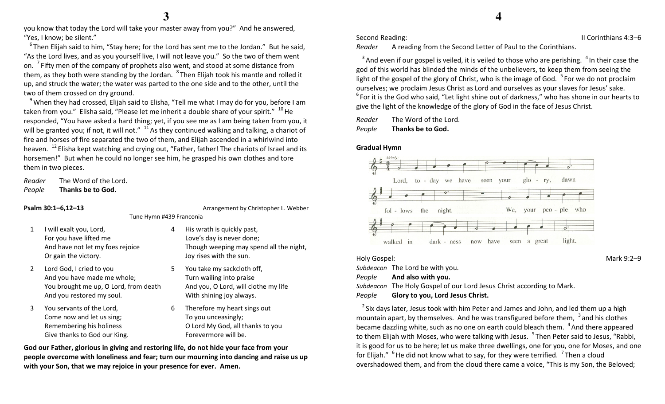you know that today the Lord will take your master away from you?" And he answered, "Yes, I know; be silent."

 $^6$ Then Elijah said to him, "Stay here; for the Lord has sent me to the Jordan." But he said, "As the Lord lives, and as you yourself live, I will not leave you." So the two of them went on.  $7$  Fifty men of the company of prophets also went, and stood at some distance from them, as they both were standing by the Jordan.  ${}^{8}$  Then Elijah took his mantle and rolled it up, and struck the water; the water was parted to the one side and to the other, until the two of them crossed on dry ground.

 $^9$  When they had crossed, Elijah said to Elisha, "Tell me what I may do for you, before I am taken from you." Elisha said. "Please let me inherit a double share of your spirit."  $10$  He responded, "You have asked a hard thing; yet, if you see me as I am being taken from you, it will be granted you; if not, it will not."  $11$  As they continued walking and talking, a chariot of fire and horses of fire separated the two of them, and Elijah ascended in a whirlwind into heaven. <sup>12</sup> Elisha kept watching and crying out, "Father, father! The chariots of Israel and its horsemen!" But when he could no longer see him, he grasped his own clothes and tore them in two pieces.

Reader The Word of the Lord. PeopleThanks be to God.

#### Psalm 30:1–6,12–13

#### Arrangement by Christopher L. Webber Tune Hymn #439 Franconia

- 1 I will exalt you, Lord, For you have lifted me And have not let my foes rejoice Or gain the victory.
- 2 Lord God, I cried to you And you have made me whole; You brought me up, O Lord, from death And you restored my soul.
- 3 You servants of the Lord, Come now and let us sing; Remembering his holiness Give thanks to God our King.
- 4 His wrath is quickly past, Love's day is never done; Though weeping may spend all the night, Joy rises with the sun.
- 5 You take my sackcloth off, Turn wailing into praise And you, O Lord, will clothe my life With shining joy always.
- 6 Therefore my heart sings out To you unceasingly; O Lord My God, all thanks to you Forevermore will be.

God our Father, glorious in giving and restoring life, do not hide your face from your people overcome with loneliness and fear; turn our mourning into dancing and raise us up with your Son, that we may rejoice in your presence for ever. Amen.

#### Second Reading: II Corinthians 4:3–6

Reader A reading from the Second Letter of Paul to the Corinthians.

 $3$  And even if our gospel is veiled, it is veiled to those who are perishing.  $4$  In their case the god of this world has blinded the minds of the unbelievers, to keep them from seeing the light of the gospel of the glory of Christ, who is the image of God. <sup>5</sup> For we do not proclaim ourselves; we proclaim Jesus Christ as Lord and ourselves as your slaves for Jesus' sake.  $6$  For it is the God who said, "Let light shine out of darkness," who has shone in our hearts to give the light of the knowledge of the glory of God in the face of Jesus Christ.

**4**

Reader The Word of the Lord. PeopleThanks be to God.

#### Gradual Hymn



#### Holy Gospel: Mark 9:2–9

Subdeacon The Lord be with you.

PeopleAnd also with you.

Subdeacon The Holy Gospel of our Lord Jesus Christ according to Mark.

PeopleGlory to you, Lord Jesus Christ.

 $2$  Six davs later, Jesus took with him Peter and James and John, and led them up a high mountain apart, by themselves. And he was transfigured before them,  $^3$  and his clothes became dazzling white, such as no one on earth could bleach them.  $4$  And there appeared to them Elijah with Moses, who were talking with Jesus. <sup>5</sup>Then Peter said to Jesus, "Rabbi, it is good for us to be here; let us make three dwellings, one for you, one for Moses, and one for Elijah."  $6$  He did not know what to say, for they were terrified.  $7$  Then a cloud overshadowed them, and from the cloud there came a voice, "This is my Son, the Beloved;

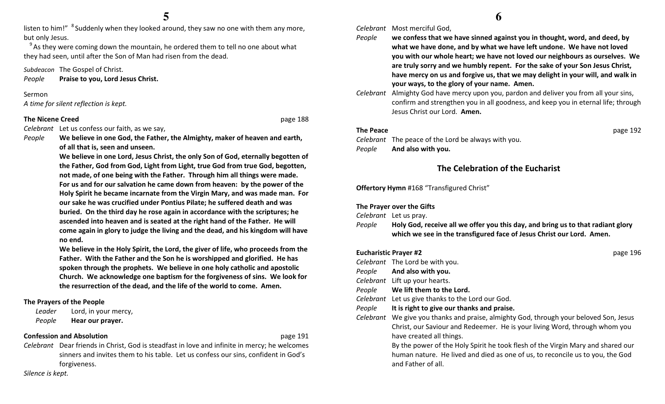listen to him!" <sup>8</sup> Suddenly when they looked around, they saw no one with them any more, but only Jesus.

 $9^9$  As they were coming down the mountain, he ordered them to tell no one about what they had seen, until after the Son of Man had risen from the dead.

Subdeacon The Gospel of Christ.

PeoplePraise to you, Lord Jesus Christ.

#### Sermon

A time for silent reflection is kept.

#### The Nicene Creed

d by a page 188

Celebrant Let us confess our faith, as we say,

People We believe in one God, the Father, the Almighty, maker of heaven and earth, of all that is, seen and unseen.

> We believe in one Lord, Jesus Christ, the only Son of God, eternally begotten of the Father, God from God, Light from Light, true God from true God, begotten, not made, of one being with the Father. Through him all things were made. For us and for our salvation he came down from heaven: by the power of the Holy Spirit he became incarnate from the Virgin Mary, and was made man. For our sake he was crucified under Pontius Pilate; he suffered death and was buried. On the third day he rose again in accordance with the scriptures; he ascended into heaven and is seated at the right hand of the Father. He will come again in glory to judge the living and the dead, and his kingdom will have no end.

> We believe in the Holy Spirit, the Lord, the giver of life, who proceeds from the Father. With the Father and the Son he is worshipped and glorified. He has spoken through the prophets. We believe in one holy catholic and apostolic Church. We acknowledge one baptism for the forgiveness of sins. We look for the resurrection of the dead, and the life of the world to come. Amen.

#### The Prayers of the People

Leader Lord, in your mercy, PeopleHear our prayer.

#### Confession and Absolution

n and the contract of the contract of the page 191 Celebrant Dear friends in Christ, God is steadfast in love and infinite in mercy; he welcomes sinners and invites them to his table. Let us confess our sins, confident in God's forgiveness.

Celebrant Most merciful God,

- People we confess that we have sinned against you in thought, word, and deed, by what we have done, and by what we have left undone. We have not loved you with our whole heart; we have not loved our neighbours as ourselves. We are truly sorry and we humbly repent. For the sake of your Son Jesus Christ, have mercy on us and forgive us, that we may delight in your will, and walk in your ways, to the glory of your name. Amen.
- Celebrant Almighty God have mercy upon you, pardon and deliver you from all your sins, confirm and strengthen you in all goodness, and keep you in eternal life; through Jesus Christ our Lord. Amen.

#### The Peace

e behavior of the contract of the contract of the contract of the contract of the contract of the contract of the contract of the contract of the contract of the contract of the contract of the contract of the contract of Celebrant The peace of the Lord be always with you. PeopleAnd also with you.

## The Celebration of the Eucharist

Offertory Hymn #168 "Transfigured Christ"

#### The Prayer over the Gifts

Celebrant Let us pray.

People Holy God, receive all we offer you this day, and bring us to that radiant glory which we see in the transfigured face of Jesus Christ our Lord. Amen.

#### Eucharistic Prayer #2 $2^{n}$  page 196

- Celebrant The Lord be with you. PeopleAnd also with you.
- Celebrant Lift up your hearts.
- PeopleWe lift them to the Lord.
- Celebrant Let us give thanks to the Lord our God.
- PeopleIt is right to give our thanks and praise.
- Celebrant We give you thanks and praise, almighty God, through your beloved Son, Jesus Christ, our Saviour and Redeemer. He is your living Word, through whom you have created all things.

By the power of the Holy Spirit he took flesh of the Virgin Mary and shared our human nature. He lived and died as one of us, to reconcile us to you, the God and Father of all.

Silence is kept.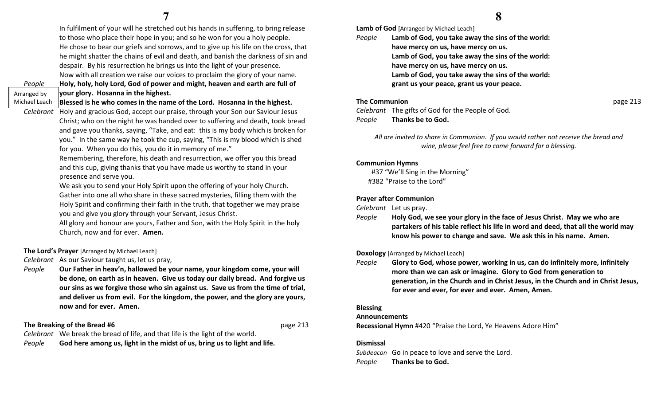In fulfilment of your will he stretched out his hands in suffering, to bring release to those who place their hope in you; and so he won for you a holy people. He chose to bear our griefs and sorrows, and to give up his life on the cross, that he might shatter the chains of evil and death, and banish the darkness of sin and despair. By his resurrection he brings us into the light of your presence. Now with all creation we raise our voices to proclaim the glory of your name. People Holy, holy, holy Lord, God of power and might, heaven and earth are full of your glory. Hosanna in the highest. Blessed is he who comes in the name of the Lord. Hosanna in the highest.  $\overline{Celebrant}$  Holy and gracious God, accept our praise, through your Son our Saviour Jesus Christ; who on the night he was handed over to suffering and death, took bread and gave you thanks, saying, "Take, and eat: this is my body which is broken for you." In the same way he took the cup, saying, "This is my blood which is shed for you. When you do this, you do it in memory of me." Remembering, therefore, his death and resurrection, we offer you this bread and this cup, giving thanks that you have made us worthy to stand in your presence and serve you. We ask you to send your Holy Spirit upon the offering of your holy Church. Gather into one all who share in these sacred mysteries, filling them with the Holy Spirit and confirming their faith in the truth, that together we may praise you and give you glory through your Servant, Jesus Christ. All glory and honour are yours, Father and Son, with the Holy Spirit in the holy Church, now and for ever. Amen. The Lord's Prayer [Arranged by Michael Leach] Arranged by Michael Leach

Celebrant As our Saviour taught us, let us pray,

People Our Father in heav'n, hallowed be your name, your kingdom come, your will be done, on earth as in heaven. Give us today our daily bread. And forgive us our sins as we forgive those who sin against us. Save us from the time of trial, and deliver us from evil. For the kingdom, the power, and the glory are yours, now and for ever. Amen.

## The Breaking of the Bread #6

 $\overline{6}$  page 213 Celebrant We break the bread of life, and that life is the light of the world.

PeopleGod here among us, light in the midst of us, bring us to light and life. **Lamb of God** [Arranged by Michael Leach]

People Lamb of God, you take away the sins of the world: have mercy on us, have mercy on us. Lamb of God, you take away the sins of the world: have mercy on us, have mercy on us. Lamb of God, you take away the sins of the world: grant us your peace, grant us your peace.

## The Communion

**n** page 213 Celebrant The gifts of God for the People of God. PeopleThanks be to God.

All are invited to share in Communion. If you would rather not receive the bread and wine, please feel free to come forward for a blessing.

## Communion Hymns

 #37 "We'll Sing in the Morning" #382 "Praise to the Lord"

## Prayer after Communion

Celebrant Let us pray.

People Holy God, we see your glory in the face of Jesus Christ. May we who are partakers of his table reflect his life in word and deed, that all the world may know his power to change and save. We ask this in his name. Amen.

## **Doxology** [Arranged by Michael Leach]

People Glory to God, whose power, working in us, can do infinitely more, infinitely more than we can ask or imagine. Glory to God from generation to generation, in the Church and in Christ Jesus, in the Church and in Christ Jesus, for ever and ever, for ever and ever. Amen, Amen.

## Blessing

## Announcements

Recessional Hymn #420 "Praise the Lord, Ye Heavens Adore Him"

## Dismissal

Subdeacon Go in peace to love and serve the Lord. PeopleThanks be to God.